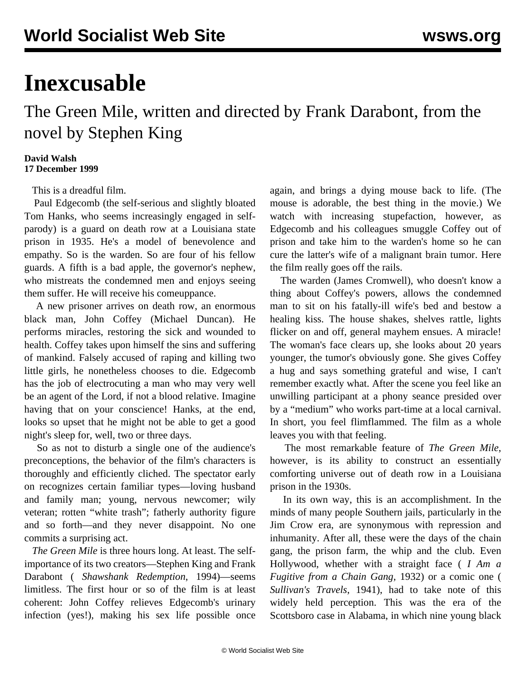## **Inexcusable**

## The Green Mile, written and directed by Frank Darabont, from the novel by Stephen King

## **David Walsh 17 December 1999**

This is a dreadful film.

 Paul Edgecomb (the self-serious and slightly bloated Tom Hanks, who seems increasingly engaged in selfparody) is a guard on death row at a Louisiana state prison in 1935. He's a model of benevolence and empathy. So is the warden. So are four of his fellow guards. A fifth is a bad apple, the governor's nephew, who mistreats the condemned men and enjoys seeing them suffer. He will receive his comeuppance.

 A new prisoner arrives on death row, an enormous black man, John Coffey (Michael Duncan). He performs miracles, restoring the sick and wounded to health. Coffey takes upon himself the sins and suffering of mankind. Falsely accused of raping and killing two little girls, he nonetheless chooses to die. Edgecomb has the job of electrocuting a man who may very well be an agent of the Lord, if not a blood relative. Imagine having that on your conscience! Hanks, at the end, looks so upset that he might not be able to get a good night's sleep for, well, two or three days.

 So as not to disturb a single one of the audience's preconceptions, the behavior of the film's characters is thoroughly and efficiently cliched. The spectator early on recognizes certain familiar types—loving husband and family man; young, nervous newcomer; wily veteran; rotten "white trash"; fatherly authority figure and so forth—and they never disappoint. No one commits a surprising act.

 *The Green Mile* is three hours long. At least. The selfimportance of its two creators—Stephen King and Frank Darabont ( *Shawshank Redemption*, 1994)—seems limitless. The first hour or so of the film is at least coherent: John Coffey relieves Edgecomb's urinary infection (yes!), making his sex life possible once again, and brings a dying mouse back to life. (The mouse is adorable, the best thing in the movie.) We watch with increasing stupefaction, however, as Edgecomb and his colleagues smuggle Coffey out of prison and take him to the warden's home so he can cure the latter's wife of a malignant brain tumor. Here the film really goes off the rails.

 The warden (James Cromwell), who doesn't know a thing about Coffey's powers, allows the condemned man to sit on his fatally-ill wife's bed and bestow a healing kiss. The house shakes, shelves rattle, lights flicker on and off, general mayhem ensues. A miracle! The woman's face clears up, she looks about 20 years younger, the tumor's obviously gone. She gives Coffey a hug and says something grateful and wise, I can't remember exactly what. After the scene you feel like an unwilling participant at a phony seance presided over by a "medium" who works part-time at a local carnival. In short, you feel flimflammed. The film as a whole leaves you with that feeling.

 The most remarkable feature of *The Green Mile*, however, is its ability to construct an essentially comforting universe out of death row in a Louisiana prison in the 1930s.

 In its own way, this is an accomplishment. In the minds of many people Southern jails, particularly in the Jim Crow era, are synonymous with repression and inhumanity. After all, these were the days of the chain gang, the prison farm, the whip and the club. Even Hollywood, whether with a straight face ( *I Am a Fugitive from a Chain Gang*, 1932) or a comic one ( *Sullivan's Travels*, 1941), had to take note of this widely held perception. This was the era of the Scottsboro case in Alabama, in which nine young black